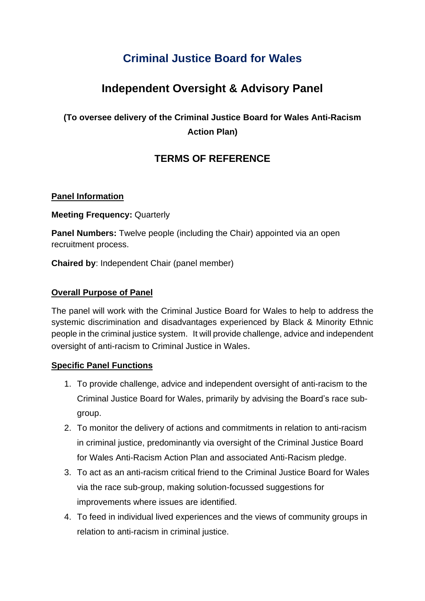# **Criminal Justice Board for Wales**

## **Independent Oversight & Advisory Panel**

### **(To oversee delivery of the Criminal Justice Board for Wales Anti-Racism Action Plan)**

### **TERMS OF REFERENCE**

#### **Panel Information**

**Meeting Frequency:** Quarterly

**Panel Numbers:** Twelve people (including the Chair) appointed via an open recruitment process.

**Chaired by**: Independent Chair (panel member)

#### **Overall Purpose of Panel**

The panel will work with the Criminal Justice Board for Wales to help to address the systemic discrimination and disadvantages experienced by Black & Minority Ethnic people in the criminal justice system. It will provide challenge, advice and independent oversight of anti-racism to Criminal Justice in Wales.

#### **Specific Panel Functions**

- 1. To provide challenge, advice and independent oversight of anti-racism to the Criminal Justice Board for Wales, primarily by advising the Board's race subgroup.
- 2. To monitor the delivery of actions and commitments in relation to anti-racism in criminal justice, predominantly via oversight of the Criminal Justice Board for Wales Anti-Racism Action Plan and associated Anti-Racism pledge.
- 3. To act as an anti-racism critical friend to the Criminal Justice Board for Wales via the race sub-group, making solution-focussed suggestions for improvements where issues are identified.
- 4. To feed in individual lived experiences and the views of community groups in relation to anti-racism in criminal justice.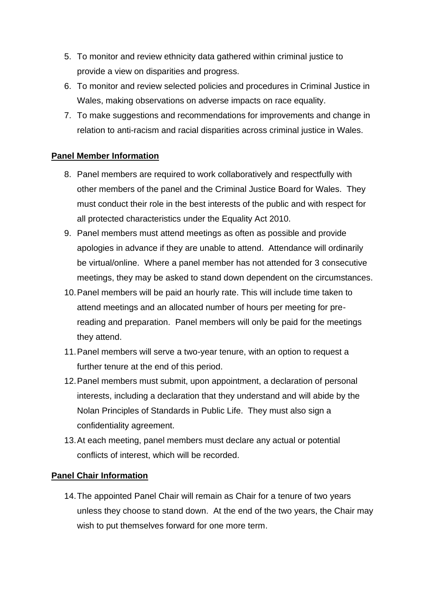- 5. To monitor and review ethnicity data gathered within criminal justice to provide a view on disparities and progress.
- 6. To monitor and review selected policies and procedures in Criminal Justice in Wales, making observations on adverse impacts on race equality.
- 7. To make suggestions and recommendations for improvements and change in relation to anti-racism and racial disparities across criminal justice in Wales.

#### **Panel Member Information**

- 8. Panel members are required to work collaboratively and respectfully with other members of the panel and the Criminal Justice Board for Wales. They must conduct their role in the best interests of the public and with respect for all protected characteristics under the Equality Act 2010.
- 9. Panel members must attend meetings as often as possible and provide apologies in advance if they are unable to attend. Attendance will ordinarily be virtual/online. Where a panel member has not attended for 3 consecutive meetings, they may be asked to stand down dependent on the circumstances.
- 10.Panel members will be paid an hourly rate. This will include time taken to attend meetings and an allocated number of hours per meeting for prereading and preparation. Panel members will only be paid for the meetings they attend.
- 11.Panel members will serve a two-year tenure, with an option to request a further tenure at the end of this period.
- 12.Panel members must submit, upon appointment, a declaration of personal interests, including a declaration that they understand and will abide by the Nolan Principles of Standards in Public Life. They must also sign a confidentiality agreement.
- 13.At each meeting, panel members must declare any actual or potential conflicts of interest, which will be recorded.

#### **Panel Chair Information**

14.The appointed Panel Chair will remain as Chair for a tenure of two years unless they choose to stand down. At the end of the two years, the Chair may wish to put themselves forward for one more term.